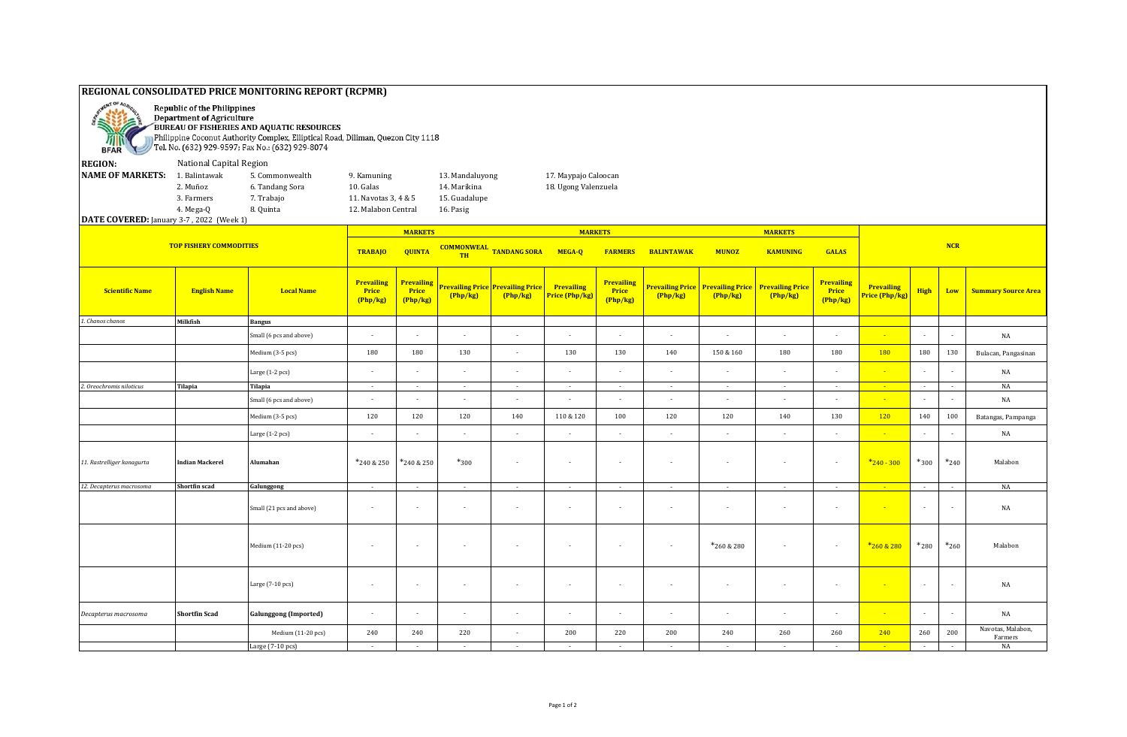## **REGIONAL CONSOLIDATED PRICE MONITORING REPORT (RCPMR) Republic of the Philippines** Department of Agriculture 运 e al BUREAU OF FISHERIES AND AQUATIC RESOURCES Philippine Coconut Authority Complex, Elliptical Road, Diliman, Quezon City 1118 刚成 Tel. No. (632) 929-9597; Fax No.: (632) 929-8074 **BFAR REGION:** National Capital Region **NAME OF MARKETS:** 1. Balintawak 5. Commonwealth 9. Kamuning 13. Mandaluyong 17. Maypajo Caloocan 2. Muñoz 6. Tandang Sora 10. Galas 14. Marikina 18. Ugong Valenzuela 3. Farmers 7. Trabajo 11. Navotas 3, 4 & 5 15. Guadalupe 4. Mega-Q 8. Quinta 12. Malabon Central 16. Pasig **DATE COVERED:** January 3-7 , 2022 (Week 1) **MARKETS MARKETS MARKETS TOP FISHERY COMMODITIES NCR COMMONWEAL TANDANG SORA MEGA-Q FARMERS BALINTAWAK MUNOZ TRABAJO QUINTA KAMUNING GALAS TH Prevailing Prevailing Prevailing Prevailing Prevailing Price Prevailing Price Prevailing Prevailing Price Prevailing Price Prevailing Price Prevailing English Name English Name Local Name Price Price Prigh Low Summary Source Area Price Price (Php/kg) (Php/kg) Price (Php/kg) (Php/kg) (Php/kg) (Php/kg) (Php/kg) (Php/kg) (Php/kg) (Php/kg)** *1. Chanos chanos* **Milkfish Bangus** Small (6 pcs and above) - - - - - - - - - - - - - NA Medium (3-5 pcs) | 180 | 180 | 130 | - | 130 | 130 | 140 | 150 & 160 | 180 | 180 | 180 | 180 | 130 | Bulacan, Pangasinan Large (1-2 pcs) - | - | - | - | - | - | - | - | - | - | - | - | NA *2. Oreochromis niloticus* **Tilapia Tilapia** - - - - - - - - - - - - - NA Small (6 pcs and above) - - - - - - - - - - - - - NA Medium (3-5 pcs) | 120 | 120 | 120 | 140 | 110 & 120 | 100 | 120 | 120 | 140 | 130 <mark>| 120 |</mark> 140 | 100 | Batangas, Pampanga Large (1-2 pcs) ┃ - ┃ - ┃ - ┃ - ┃ - ┃ - ┃ - ┃ - ┃ - <mark> - </mark> - | - ┃ NA 11. Rastrelli*ger* kanagurta **Indian Mackerel Alumahan** \* \*240 & 250 \*240 & 250 \*300 \*300 <sup>\*</sup>300 \*240 \* - - - - - - - - - - - - - - - - - \*240 - 300 \*300 \*300 \*300 \*240 Malabon *12. Decapterus macrosoma* **Shortfin scad Galunggong** - - - - - - - - - - - - - NA Small (21 pcs and above) - - - - - - - - - - - - - NA Medium (11-20 pcs) | - | - | - | - | - | - | \* 260 & 280 | - | - | <mark>\* 260 & 280 |</mark> \*260 | Malabon Large (7-10 pcs) - - - - - - - - - - - - - NA *Decapterus macrosoma* **Shortfin Scad Galunggong (Imported)** - - - - - - - - - - - - - NA Medium (11-20 pcs) <sup>240</sup> <sup>240</sup> <sup>220</sup> - <sup>200</sup> <sup>220</sup> <sup>200</sup> <sup>240</sup> <sup>260</sup> <sup>260</sup> <sup>240</sup> <sup>260</sup> <sup>200</sup> Navotas, Malabon, Farmers Large (7-10 pcs) - - - - - - - - - - - - - NA